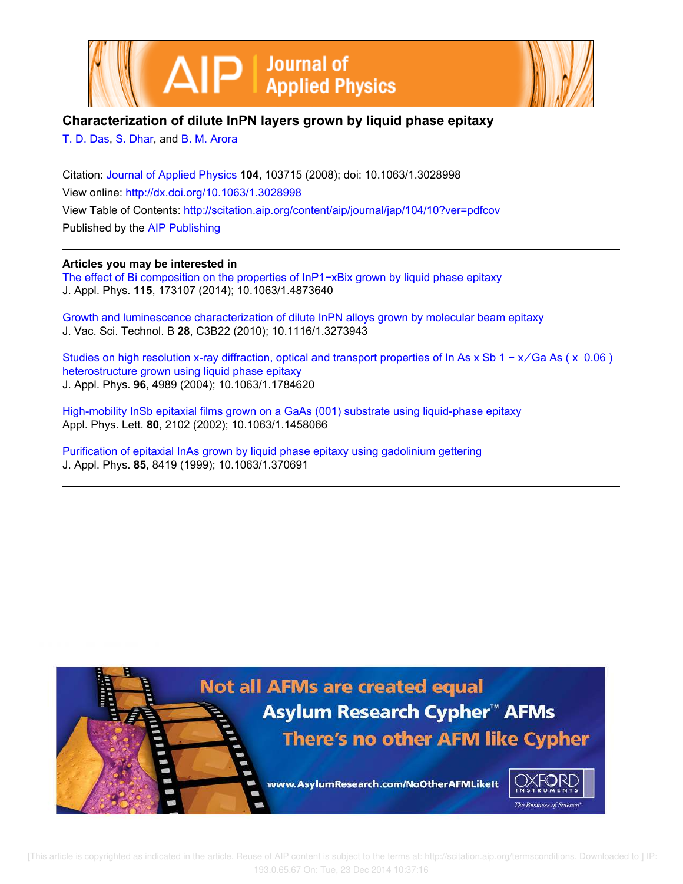



## **Characterization of dilute InPN layers grown by liquid phase epitaxy**

T. D. Das, S. Dhar, and B. M. Arora

Citation: Journal of Applied Physics **104**, 103715 (2008); doi: 10.1063/1.3028998 View online: http://dx.doi.org/10.1063/1.3028998 View Table of Contents: http://scitation.aip.org/content/aip/journal/jap/104/10?ver=pdfcov Published by the AIP Publishing

## **Articles you may be interested in**

The effect of Bi composition on the properties of InP1-xBix grown by liquid phase epitaxy J. Appl. Phys. **115**, 173107 (2014); 10.1063/1.4873640

Growth and luminescence characterization of dilute InPN alloys grown by molecular beam epitaxy J. Vac. Sci. Technol. B **28**, C3B22 (2010); 10.1116/1.3273943

Studies on high resolution x-ray diffraction, optical and transport properties of In As x Sb 1 − x/Ga As ( x 0.06) heterostructure grown using liquid phase epitaxy J. Appl. Phys. **96**, 4989 (2004); 10.1063/1.1784620

High-mobility InSb epitaxial films grown on a GaAs (001) substrate using liquid-phase epitaxy Appl. Phys. Lett. **80**, 2102 (2002); 10.1063/1.1458066

Purification of epitaxial InAs grown by liquid phase epitaxy using gadolinium gettering J. Appl. Phys. **85**, 8419 (1999); 10.1063/1.370691



 [This article is copyrighted as indicated in the article. Reuse of AIP content is subject to the terms at: http://scitation.aip.org/termsconditions. Downloaded to ] IP: 193.0.65.67 On: Tue, 23 Dec 2014 10:37:16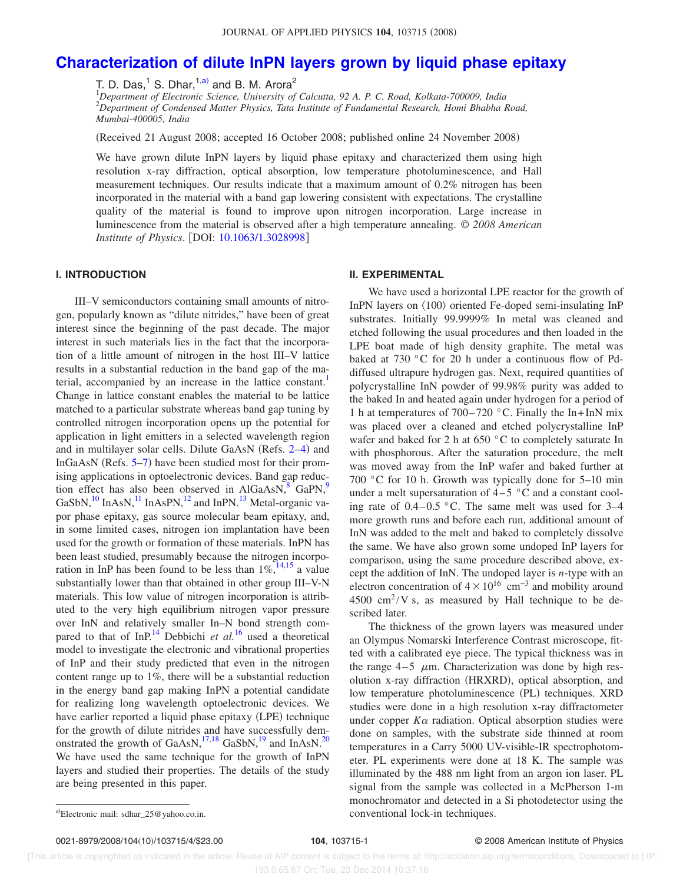# **Characterization of dilute InPN layers grown by liquid phase epitaxy**

T. D. Das, $^1$  S. Dhar, $^{1, a)}$  and B. M. Arora $^2$ 

<sup>1</sup>*Department of Electronic Science, University of Calcutta, 92 A. P. C. Road, Kolkata-700009, India* <sup>2</sup>*Department of Condensed Matter Physics, Tata Institute of Fundamental Research, Homi Bhabha Road, Mumbai-400005, India*

(Received 21 August 2008; accepted 16 October 2008; published online 24 November 2008)

We have grown dilute InPN layers by liquid phase epitaxy and characterized them using high resolution x-ray diffraction, optical absorption, low temperature photoluminescence, and Hall measurement techniques. Our results indicate that a maximum amount of 0.2% nitrogen has been incorporated in the material with a band gap lowering consistent with expectations. The crystalline quality of the material is found to improve upon nitrogen incorporation. Large increase in luminescence from the material is observed after a high temperature annealing. © *2008 American Institute of Physics.* [DOI: 10.1063/1.3028998]

## **I. INTRODUCTION**

III–V semiconductors containing small amounts of nitrogen, popularly known as "dilute nitrides," have been of great interest since the beginning of the past decade. The major interest in such materials lies in the fact that the incorporation of a little amount of nitrogen in the host III–V lattice results in a substantial reduction in the band gap of the material, accompanied by an increase in the lattice constant.<sup>1</sup> Change in lattice constant enables the material to be lattice matched to a particular substrate whereas band gap tuning by controlled nitrogen incorporation opens up the potential for application in light emitters in a selected wavelength region and in multilayer solar cells. Dilute GaAsN (Refs. 2–4) and InGaAsN (Refs.  $5-7$ ) have been studied most for their promising applications in optoelectronic devices. Band gap reduction effect has also been observed in  $\text{AlGaAsN}$ ,<sup>8</sup> GaPN,<sup>9</sup> GaSbN, $^{10}$  InAsN, $^{11}$  InAsPN, $^{12}$  and InPN. $^{13}$  Metal-organic vapor phase epitaxy, gas source molecular beam epitaxy, and, in some limited cases, nitrogen ion implantation have been used for the growth or formation of these materials. InPN has been least studied, presumably because the nitrogen incorporation in InP has been found to be less than  $1\%$ ,<sup>14,15</sup> a value substantially lower than that obtained in other group III–V-N materials. This low value of nitrogen incorporation is attributed to the very high equilibrium nitrogen vapor pressure over InN and relatively smaller In–N bond strength compared to that of InP.<sup>14</sup> Debbichi *et al.*<sup>16</sup> used a theoretical model to investigate the electronic and vibrational properties of InP and their study predicted that even in the nitrogen content range up to 1%, there will be a substantial reduction in the energy band gap making InPN a potential candidate for realizing long wavelength optoelectronic devices. We have earlier reported a liquid phase epitaxy (LPE) technique for the growth of dilute nitrides and have successfully demonstrated the growth of GaAsN,<sup>17,18</sup> GaSbN,<sup>19</sup> and InAsN.<sup>20</sup> We have used the same technique for the growth of InPN layers and studied their properties. The details of the study are being presented in this paper.

#### **II. EXPERIMENTAL**

We have used a horizontal LPE reactor for the growth of InPN layers on  $\langle 100 \rangle$  oriented Fe-doped semi-insulating InP substrates. Initially 99.9999% In metal was cleaned and etched following the usual procedures and then loaded in the LPE boat made of high density graphite. The metal was baked at 730 °C for 20 h under a continuous flow of Pddiffused ultrapure hydrogen gas. Next, required quantities of polycrystalline InN powder of 99.98% purity was added to the baked In and heated again under hydrogen for a period of 1 h at temperatures of  $700-720$  °C. Finally the In+InN mix was placed over a cleaned and etched polycrystalline InP wafer and baked for 2 h at 650 °C to completely saturate In with phosphorous. After the saturation procedure, the melt was moved away from the InP wafer and baked further at 700 °C for 10 h. Growth was typically done for 5–10 min under a melt supersaturation of  $4-5$  °C and a constant cooling rate of  $0.4-0.5$  °C. The same melt was used for  $3-4$ more growth runs and before each run, additional amount of InN was added to the melt and baked to completely dissolve the same. We have also grown some undoped InP layers for comparison, using the same procedure described above, except the addition of InN. The undoped layer is *n*-type with an electron concentration of  $4 \times 10^{16}$  cm<sup>-3</sup> and mobility around  $4500 \text{ cm}^2$ /V s, as measured by Hall technique to be described later.

The thickness of the grown layers was measured under an Olympus Nomarski Interference Contrast microscope, fitted with a calibrated eye piece. The typical thickness was in the range  $4-5$   $\mu$ m. Characterization was done by high resolution x-ray diffraction (HRXRD), optical absorption, and low temperature photoluminescence (PL) techniques. XRD studies were done in a high resolution x-ray diffractometer under copper  $K\alpha$  radiation. Optical absorption studies were done on samples, with the substrate side thinned at room temperatures in a Carry 5000 UV-visible-IR spectrophotometer. PL experiments were done at 18 K. The sample was illuminated by the 488 nm light from an argon ion laser. PL signal from the sample was collected in a McPherson 1-m monochromator and detected in a Si photodetector using the conventional lock-in techniques.

0021-8979/2008/104(10)/103715/4/\$23.00

Electronic mail: sdhar\_25@yahoo.co.in.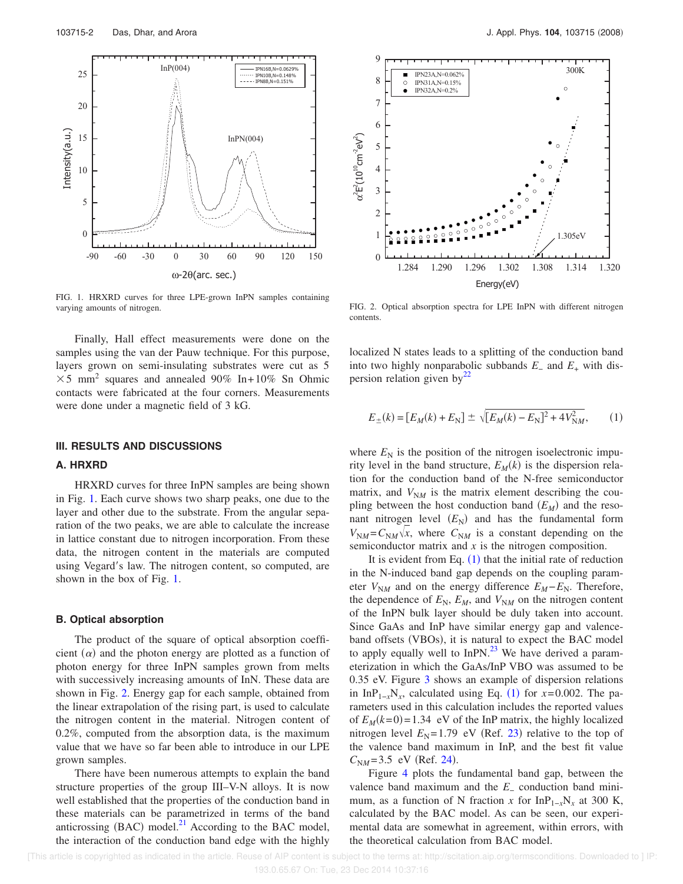

FIG. 1. HRXRD curves for three LPE-grown InPN samples containing varying amounts of nitrogen.

Finally, Hall effect measurements were done on the samples using the van der Pauw technique. For this purpose, layers grown on semi-insulating substrates were cut as 5 5 mm<sup>2</sup> squares and annealed 90*%* In+ 10*%* Sn Ohmic contacts were fabricated at the four corners. Measurements were done under a magnetic field of 3 kG.

## **III. RESULTS AND DISCUSSIONS**

## **A. HRXRD**

HRXRD curves for three InPN samples are being shown in Fig. 1. Each curve shows two sharp peaks, one due to the layer and other due to the substrate. From the angular separation of the two peaks, we are able to calculate the increase in lattice constant due to nitrogen incorporation. From these data, the nitrogen content in the materials are computed using Vegard's law. The nitrogen content, so computed, are shown in the box of Fig. 1.

## **B. Optical absorption**

The product of the square of optical absorption coefficient  $(\alpha)$  and the photon energy are plotted as a function of photon energy for three InPN samples grown from melts with successively increasing amounts of InN. These data are shown in Fig. 2. Energy gap for each sample, obtained from the linear extrapolation of the rising part, is used to calculate the nitrogen content in the material. Nitrogen content of 0.2%, computed from the absorption data, is the maximum value that we have so far been able to introduce in our LPE grown samples.

There have been numerous attempts to explain the band structure properties of the group III–V-N alloys. It is now well established that the properties of the conduction band in these materials can be parametrized in terms of the band anticrossing (BAC) model. $^{21}$  According to the BAC model, the interaction of the conduction band edge with the highly



FIG. 2. Optical absorption spectra for LPE InPN with different nitrogen contents.

localized N states leads to a splitting of the conduction band into two highly nonparabolic subbands *E*<sup>−</sup> and *E*<sup>+</sup> with dispersion relation given by<sup>22</sup>

$$
E_{\pm}(k) = [E_M(k) + E_N] \pm \sqrt{[E_M(k) - E_N]^2 + 4V_{NM}^2},
$$
 (1)

where  $E_N$  is the position of the nitrogen isoelectronic impurity level in the band structure,  $E_M(k)$  is the dispersion relation for the conduction band of the N-free semiconductor matrix, and  $V_{NM}$  is the matrix element describing the coupling between the host conduction band  $(E_M)$  and the resonant nitrogen level  $(E_N)$  and has the fundamental form  $V_{NM} = C_{NM} \sqrt{x}$ , where  $C_{NM}$  is a constant depending on the semiconductor matrix and *x* is the nitrogen composition.

It is evident from Eq.  $(1)$  that the initial rate of reduction in the N-induced band gap depends on the coupling parameter  $V_{\text{N}M}$  and on the energy difference  $E_M - E_N$ . Therefore, the dependence of  $E_N$ ,  $E_M$ , and  $V_{NM}$  on the nitrogen content of the InPN bulk layer should be duly taken into account. Since GaAs and InP have similar energy gap and valenceband offsets (VBOs), it is natural to expect the BAC model to apply equally well to  $InPN.<sup>23</sup>$  We have derived a parameterization in which the GaAs/InP VBO was assumed to be 0.35 eV. Figure 3 shows an example of dispersion relations in InP<sub>1-*x*</sub>N<sub>*x*</sub>, calculated using Eq. (1) for *x*=0.002. The parameters used in this calculation includes the reported values of  $E_M(k=0) = 1.34$  eV of the InP matrix, the highly localized nitrogen level  $E_N$ =1.79 eV (Ref. 23) relative to the top of the valence band maximum in InP, and the best fit value  $C_{NM} = 3.5$  eV (Ref. 24).

Figure 4 plots the fundamental band gap, between the valence band maximum and the *E*<sup>−</sup> conduction band minimum, as a function of N fraction *x* for  $InP_{1-x}N_r$  at 300 K, calculated by the BAC model. As can be seen, our experimental data are somewhat in agreement, within errors, with the theoretical calculation from BAC model.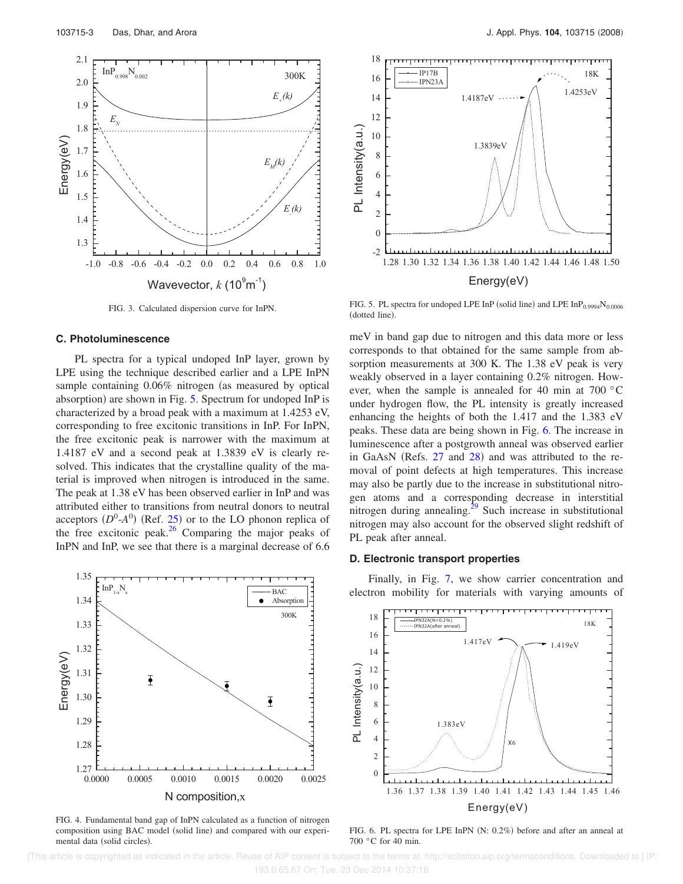

FIG. 3. Calculated dispersion curve for InPN.

#### **C. Photoluminescence**

PL spectra for a typical undoped InP layer, grown by LPE using the technique described earlier and a LPE InPN sample containing  $0.06\%$  nitrogen (as measured by optical absorption) are shown in Fig. 5. Spectrum for undoped InP is characterized by a broad peak with a maximum at 1.4253 eV, corresponding to free excitonic transitions in InP. For InPN, the free excitonic peak is narrower with the maximum at 1.4187 eV and a second peak at 1.3839 eV is clearly resolved. This indicates that the crystalline quality of the material is improved when nitrogen is introduced in the same. The peak at 1.38 eV has been observed earlier in InP and was attributed either to transitions from neutral donors to neutral acceptors  $(D^0$ - $A^0)$  (Ref. 25) or to the LO phonon replica of the free excitonic peak. $26$  Comparing the major peaks of InPN and InP, we see that there is a marginal decrease of 6.6



FIG. 4. Fundamental band gap of InPN calculated as a function of nitrogen composition using BAC model (solid line) and compared with our experimental data (solid circles).



FIG. 5. PL spectra for undoped LPE InP (solid line) and LPE  $InP_{0.9994}N_{0.0006}$ (dotted line).

meV in band gap due to nitrogen and this data more or less corresponds to that obtained for the same sample from absorption measurements at 300 K. The 1.38 eV peak is very weakly observed in a layer containing 0.2% nitrogen. However, when the sample is annealed for 40 min at 700 °C under hydrogen flow, the PL intensity is greatly increased enhancing the heights of both the 1.417 and the 1.383 eV peaks. These data are being shown in Fig. 6. The increase in luminescence after a postgrowth anneal was observed earlier in GaAsN (Refs.  $27$  and  $28$ ) and was attributed to the removal of point defects at high temperatures. This increase may also be partly due to the increase in substitutional nitrogen atoms and a corresponding decrease in interstitial nitrogen during annealing. $2^9$  Such increase in substitutional nitrogen may also account for the observed slight redshift of PL peak after anneal.

### **D. Electronic transport properties**

Finally, in Fig. 7, we show carrier concentration and electron mobility for materials with varying amounts of



FIG. 6. PL spectra for LPE InPN  $(N: 0.2\%)$  before and after an anneal at 700 °C for 40 min.

 <sup>[</sup>This article is copyrighted as indicated in the article. Reuse of AIP content is subject to the terms at: http://scitation.aip.org/termsconditions. Downloaded to ] IP: 193.0.65.67 On: Tue, 23 Dec 2014 10:37:16